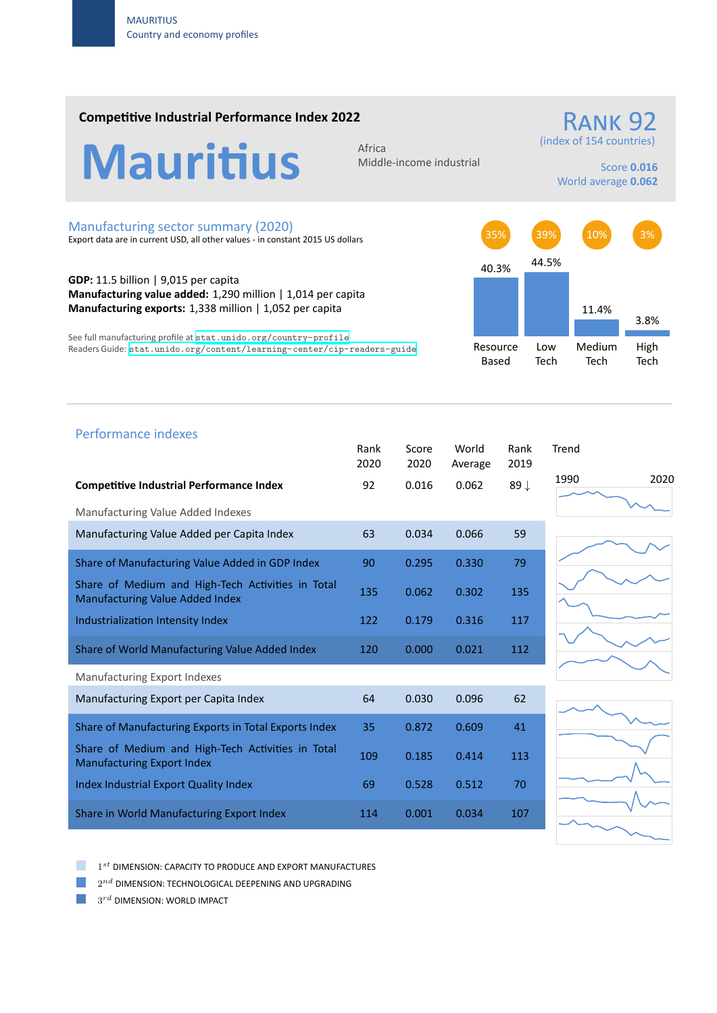### **Competitive Industrial Performance Index 2022**



Middle‐income industrial

## RANK 97 (index of 154 countries)

Score **0.016** World average **0.062**

#### Manufacturing sector summary (2020)

Export data are in current USD, all other values ‐ in constant 2015 US dollars

**GDP:** 11.5 billion | 9,015 per capita **Manufacturing value added:** 1,290 million | 1,014 per capita **Manufacturing exports:** 1,338 million | 1,052 per capita

See full manufacturing profile at stat.unido.org/country-profile Readers Guide: stat.unido.org/content/learning-center/cip-readers-guide



# 1990 2020 Performance indexes Rank Score World Rank Trend 2020 2020 Average 2019 **Competitive Industrial Performance Index** 92 0.016 0.062 89 *↓* Manufacturing Value Added Indexes Manufacturing Value Added per Capita Index 63 0.034 0.066 59 Share of Manufacturing Value Added in GDP Index 90 0.295 0.330 79 Share of Medium and High‐Tech Activities in Total Share of Medium and High-Tech Activities in Total 135 0.062 0.302 135 Industrialization Intensity Index 122 0.179 0.316 117 Share of World Manufacturing Value Added Index 120 0.000 0.021 112 Manufacturing Export Indexes Manufacturing Export per Capita Index 64 0.030 0.096 62 Share of Manufacturing Exports in Total Exports Index 35 0.872 0.609 41 Share of Medium and High‐Tech Activities in Total Share of Medium and High-Tech Activities in Total 109 0.185 0.414 113 Index Industrial Export Quality Index 69 0.528 0.512 70 Share in World Manufacturing Export Index 114 0.001 0.034 107

1 *st* DIMENSION: CAPACITY TO PRODUCE AND EXPORT MANUFACTURES

 $2^{nd}$  DIMENSION: TECHNOLOGICAL DEEPENING AND UPGRADING

 $3^{rd}$  DIMENSION: WORLD IMPACT